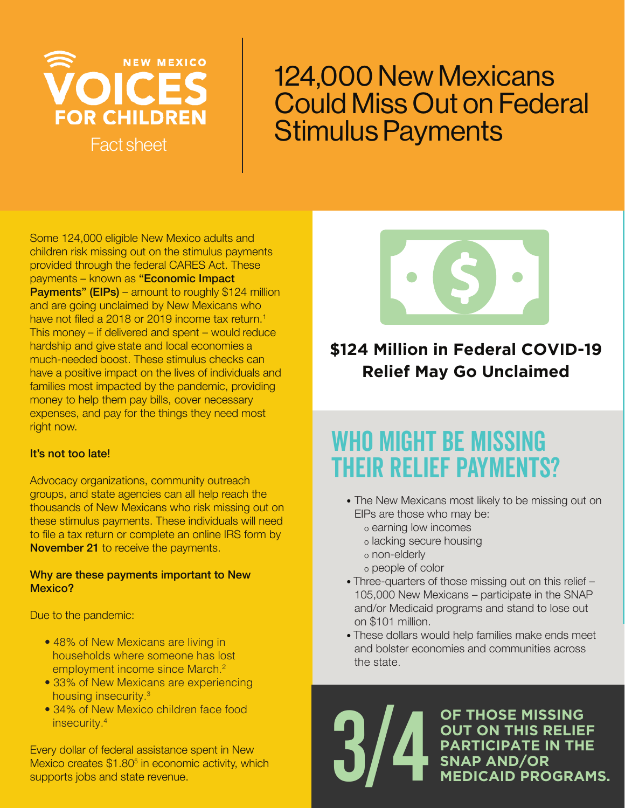

### 124,000 New Mexicans Could Miss Out on Federal Stimulus Payments

Some 124,000 eligible New Mexico adults and children risk missing out on the stimulus payments provided through the federal CARES Act. These payments – known as "Economic Impact **Payments" (EIPs)** – amount to roughly \$124 million and are going unclaimed by New Mexicans who have not filed a 2018 or 2019 income tax return.<sup>1</sup> This money – if delivered and spent – would reduce hardship and give state and local economies a much-needed boost. These stimulus checks can have a positive impact on the lives of individuals and families most impacted by the pandemic, providing money to help them pay bills, cover necessary expenses, and pay for the things they need most right now.

#### It's not too late!

Advocacy organizations, community outreach groups, and state agencies can all help reach the thousands of New Mexicans who risk missing out on these stimulus payments. These individuals will need to file a tax return or complete an online IRS form by November 21 to receive the payments.

#### Why are these payments important to New Mexico?

Due to the pandemic:

- 48% of New Mexicans are living in households where someone has lost employment income since March.<sup>2</sup>
- 33% of New Mexicans are experiencing housing insecurity.3
- 34% of New Mexico children face food insecurity.4

Every dollar of federal assistance spent in New Mexico creates \$1.80<sup>5</sup> in economic activity, which supports jobs and state revenue.



### **\$124 Million in Federal COVID-19 Relief May Go Unclaimed**

### WHO MIGHT BE MISSING their relief payments?

- The New Mexicans most likely to be missing out on EIPs are those who may be:
	- o earning low incomes
	- o lacking secure housing
	- o non-elderly
	- o people of color
- Three-quarters of those missing out on this relief 105,000 New Mexicans – participate in the SNAP and/or Medicaid programs and stand to lose out on \$101 million.
- These dollars would help families make ends meet and bolster economies and communities across the state.

**OF THOSE MISSING OUT ON THIS RELIEF PARTICIPATE IN THE SNAP AND/OR** 3/4 **MEDICAID PROGRAMS.**